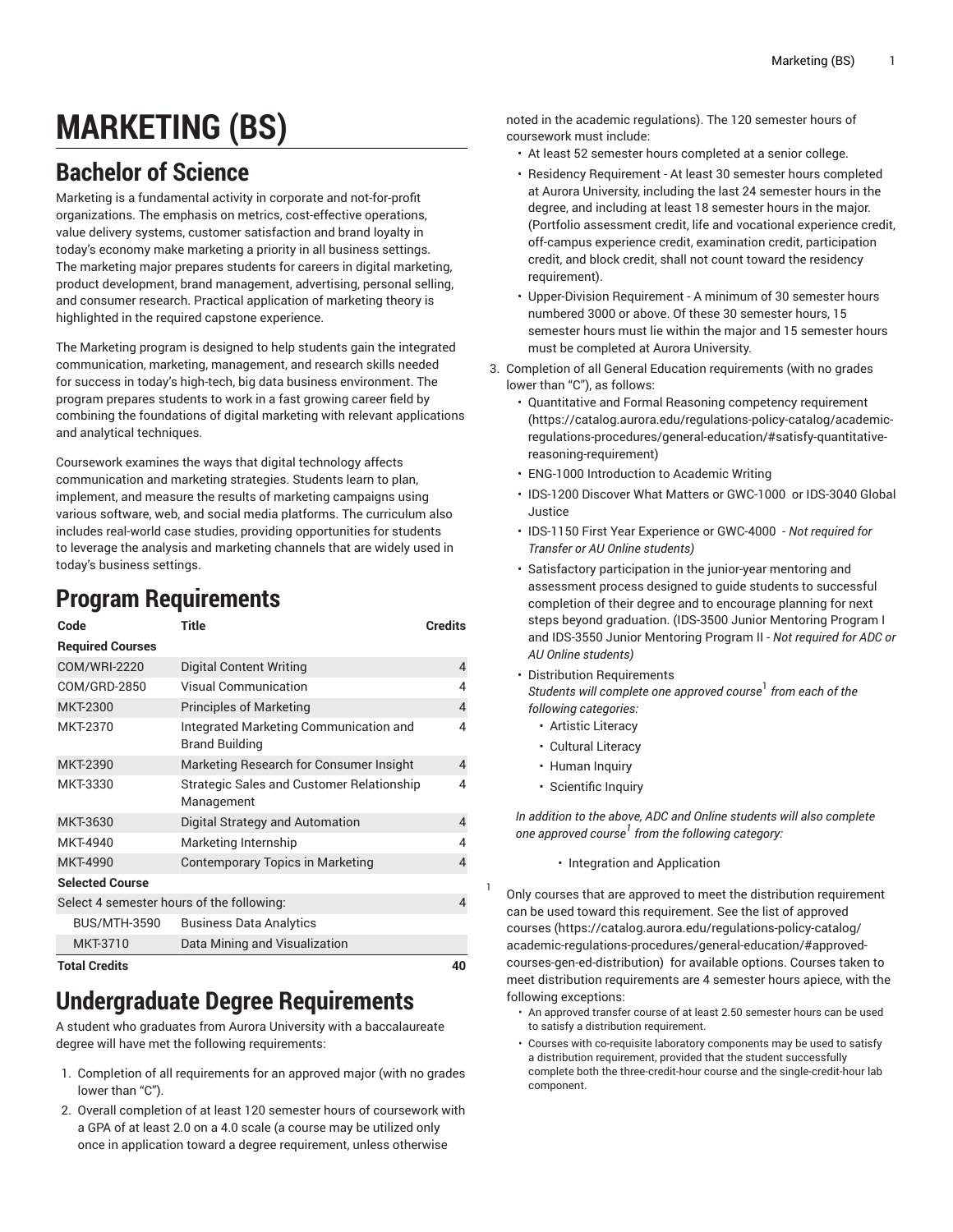# **MARKETING (BS)**

# **Bachelor of Science**

Marketing is a fundamental activity in corporate and not-for-profit organizations. The emphasis on metrics, cost-effective operations, value delivery systems, customer satisfaction and brand loyalty in today's economy make marketing a priority in all business settings. The marketing major prepares students for careers in digital marketing, product development, brand management, advertising, personal selling, and consumer research. Practical application of marketing theory is highlighted in the required capstone experience.

The Marketing program is designed to help students gain the integrated communication, marketing, management, and research skills needed for success in today's high-tech, big data business environment. The program prepares students to work in a fast growing career field by combining the foundations of digital marketing with relevant applications and analytical techniques.

Coursework examines the ways that digital technology affects communication and marketing strategies. Students learn to plan, implement, and measure the results of marketing campaigns using various software, web, and social media platforms. The curriculum also includes real-world case studies, providing opportunities for students to leverage the analysis and marketing channels that are widely used in today's business settings.

# **Program Requirements**

| Code                                      | <b>Title</b>                                                    | <b>Credits</b> |
|-------------------------------------------|-----------------------------------------------------------------|----------------|
| <b>Required Courses</b>                   |                                                                 |                |
| <b>COM/WRI-2220</b>                       | Digital Content Writing                                         | 4              |
| COM/GRD-2850                              | <b>Visual Communication</b>                                     | 4              |
| <b>MKT-2300</b>                           | <b>Principles of Marketing</b>                                  | $\overline{4}$ |
| <b>MKT-2370</b>                           | Integrated Marketing Communication and<br><b>Brand Building</b> | 4              |
| <b>MKT-2390</b>                           | Marketing Research for Consumer Insight                         | 4              |
| MKT-3330                                  | <b>Strategic Sales and Customer Relationship</b><br>Management  | 4              |
| MKT-3630                                  | Digital Strategy and Automation                                 | 4              |
| MKT-4940                                  | Marketing Internship                                            | 4              |
| <b>MKT-4990</b>                           | Contemporary Topics in Marketing                                | 4              |
| <b>Selected Course</b>                    |                                                                 |                |
| Select 4 semester hours of the following: |                                                                 | $\overline{4}$ |
| <b>BUS/MTH-3590</b>                       | <b>Business Data Analytics</b>                                  |                |
| MKT-3710                                  | Data Mining and Visualization                                   |                |
| Total Cradita                             |                                                                 | $\Lambda$      |

#### **Total Credits 40**

### **Undergraduate Degree Requirements**

A student who graduates from Aurora University with a baccalaureate degree will have met the following requirements:

- 1. Completion of all requirements for an approved major (with no grades lower than "C").
- 2. Overall completion of at least 120 semester hours of coursework with a GPA of at least 2.0 on a 4.0 scale (a course may be utilized only once in application toward a degree requirement, unless otherwise

noted in the academic regulations). The 120 semester hours of coursework must include:

- At least 52 semester hours completed at a senior college.
- Residency Requirement At least 30 semester hours completed at Aurora University, including the last 24 semester hours in the degree, and including at least 18 semester hours in the major. (Portfolio assessment credit, life and vocational experience credit, off-campus experience credit, examination credit, participation credit, and block credit, shall not count toward the residency requirement).
- Upper-Division Requirement A minimum of 30 semester hours numbered 3000 or above. Of these 30 semester hours, 15 semester hours must lie within the major and 15 semester hours must be completed at Aurora University.
- 3. Completion of all General Education requirements (with no grades lower than "C"), as follows:
	- Quantitative and Formal Reasoning [competency](https://catalog.aurora.edu/regulations-policy-catalog/academic-regulations-procedures/general-education/#satisfy-quantitative-reasoning-requirement) requirement [\(https://catalog.aurora.edu/regulations-policy-catalog/academic](https://catalog.aurora.edu/regulations-policy-catalog/academic-regulations-procedures/general-education/#satisfy-quantitative-reasoning-requirement)[regulations-procedures/general-education/#satisfy-quantitative](https://catalog.aurora.edu/regulations-policy-catalog/academic-regulations-procedures/general-education/#satisfy-quantitative-reasoning-requirement)[reasoning-requirement\)](https://catalog.aurora.edu/regulations-policy-catalog/academic-regulations-procedures/general-education/#satisfy-quantitative-reasoning-requirement)
	- ENG-1000 Introduction to Academic Writing
	- IDS-1200 Discover What Matters or GWC-1000 or IDS-3040 Global Justice
	- IDS-1150 First Year Experience or GWC-4000 *Not required for Transfer or AU Online students)*
	- Satisfactory participation in the junior-year mentoring and assessment process designed to guide students to successful completion of their degree and to encourage planning for next steps beyond graduation. (IDS-3500 Junior Mentoring Program I and IDS-3550 Junior Mentoring Program II - *Not required for ADC or AU Online students)*
	- Distribution Requirements *Students will complete one approved course* 1 *from each of the*
	- *following categories:* • Artistic Literacy
		- Cultural Literacy
		- Human Inquiry
		- Scientific Inquiry

1

*In addition to the above, ADC and Online students will also complete one approved course 1 from the following category:*

• Integration and Application

Only courses that are approved to meet the distribution requirement can be used toward this requirement. See the list of [approved](https://catalog.aurora.edu/regulations-policy-catalog/academic-regulations-procedures/general-education/#approved-courses-gen-ed-distribution) [courses](https://catalog.aurora.edu/regulations-policy-catalog/academic-regulations-procedures/general-education/#approved-courses-gen-ed-distribution) ([https://catalog.aurora.edu/regulations-policy-catalog/](https://catalog.aurora.edu/regulations-policy-catalog/academic-regulations-procedures/general-education/#approved-courses-gen-ed-distribution) [academic-regulations-procedures/general-education/#approved](https://catalog.aurora.edu/regulations-policy-catalog/academic-regulations-procedures/general-education/#approved-courses-gen-ed-distribution)[courses-gen-ed-distribution](https://catalog.aurora.edu/regulations-policy-catalog/academic-regulations-procedures/general-education/#approved-courses-gen-ed-distribution)) for available options. Courses taken to meet distribution requirements are 4 semester hours apiece, with the following exceptions:

- An approved transfer course of at least 2.50 semester hours can be used to satisfy a distribution requirement.
- Courses with co-requisite laboratory components may be used to satisfy a distribution requirement, provided that the student successfully complete both the three-credit-hour course and the single-credit-hour lab component.